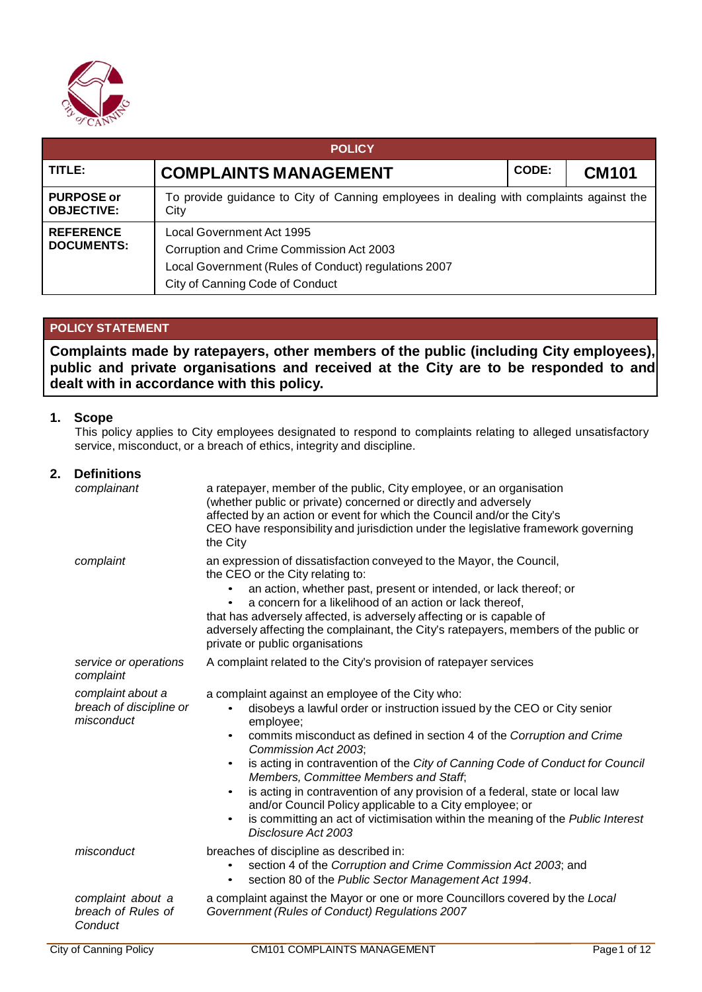

| <b>POLICY</b>                          |                                                                                                                                                                  |  |  |  |
|----------------------------------------|------------------------------------------------------------------------------------------------------------------------------------------------------------------|--|--|--|
| TITLE:                                 | CODE:<br><b>COMPLAINTS MANAGEMENT</b><br><b>CM101</b>                                                                                                            |  |  |  |
| <b>PURPOSE or</b><br><b>OBJECTIVE:</b> | To provide guidance to City of Canning employees in dealing with complaints against the<br>City                                                                  |  |  |  |
| <b>REFERENCE</b><br><b>DOCUMENTS:</b>  | Local Government Act 1995<br>Corruption and Crime Commission Act 2003<br>Local Government (Rules of Conduct) regulations 2007<br>City of Canning Code of Conduct |  |  |  |

## **POLICY STATEMENT**

**Complaints made by ratepayers, other members of the public (including City employees), public and private organisations and received at the City are to be responded to and dealt with in accordance with this policy.**

## **1. Scope**

This policy applies to City employees designated to respond to complaints relating to alleged unsatisfactory service, misconduct, or a breach of ethics, integrity and discipline.

## **2. Definitions**

| complainant                                                | a ratepayer, member of the public, City employee, or an organisation<br>(whether public or private) concerned or directly and adversely<br>affected by an action or event for which the Council and/or the City's<br>CEO have responsibility and jurisdiction under the legislative framework governing<br>the City                                                                                                                                                                                                                                                                                                                                                           |
|------------------------------------------------------------|-------------------------------------------------------------------------------------------------------------------------------------------------------------------------------------------------------------------------------------------------------------------------------------------------------------------------------------------------------------------------------------------------------------------------------------------------------------------------------------------------------------------------------------------------------------------------------------------------------------------------------------------------------------------------------|
| complaint                                                  | an expression of dissatisfaction conveyed to the Mayor, the Council,<br>the CEO or the City relating to:<br>an action, whether past, present or intended, or lack thereof; or<br>a concern for a likelihood of an action or lack thereof,<br>$\bullet$<br>that has adversely affected, is adversely affecting or is capable of<br>adversely affecting the complainant, the City's ratepayers, members of the public or<br>private or public organisations                                                                                                                                                                                                                     |
| service or operations<br>complaint                         | A complaint related to the City's provision of ratepayer services                                                                                                                                                                                                                                                                                                                                                                                                                                                                                                                                                                                                             |
| complaint about a<br>breach of discipline or<br>misconduct | a complaint against an employee of the City who:<br>disobeys a lawful order or instruction issued by the CEO or City senior<br>employee;<br>commits misconduct as defined in section 4 of the Corruption and Crime<br>$\bullet$<br>Commission Act 2003;<br>is acting in contravention of the City of Canning Code of Conduct for Council<br>$\bullet$<br>Members, Committee Members and Staff,<br>is acting in contravention of any provision of a federal, state or local law<br>$\bullet$<br>and/or Council Policy applicable to a City employee; or<br>is committing an act of victimisation within the meaning of the Public Interest<br>$\bullet$<br>Disclosure Act 2003 |
| misconduct                                                 | breaches of discipline as described in:<br>section 4 of the Corruption and Crime Commission Act 2003; and<br>section 80 of the Public Sector Management Act 1994.<br>$\bullet$                                                                                                                                                                                                                                                                                                                                                                                                                                                                                                |
| complaint about a<br>breach of Rules of<br>Conduct         | a complaint against the Mayor or one or more Councillors covered by the Local<br>Government (Rules of Conduct) Regulations 2007                                                                                                                                                                                                                                                                                                                                                                                                                                                                                                                                               |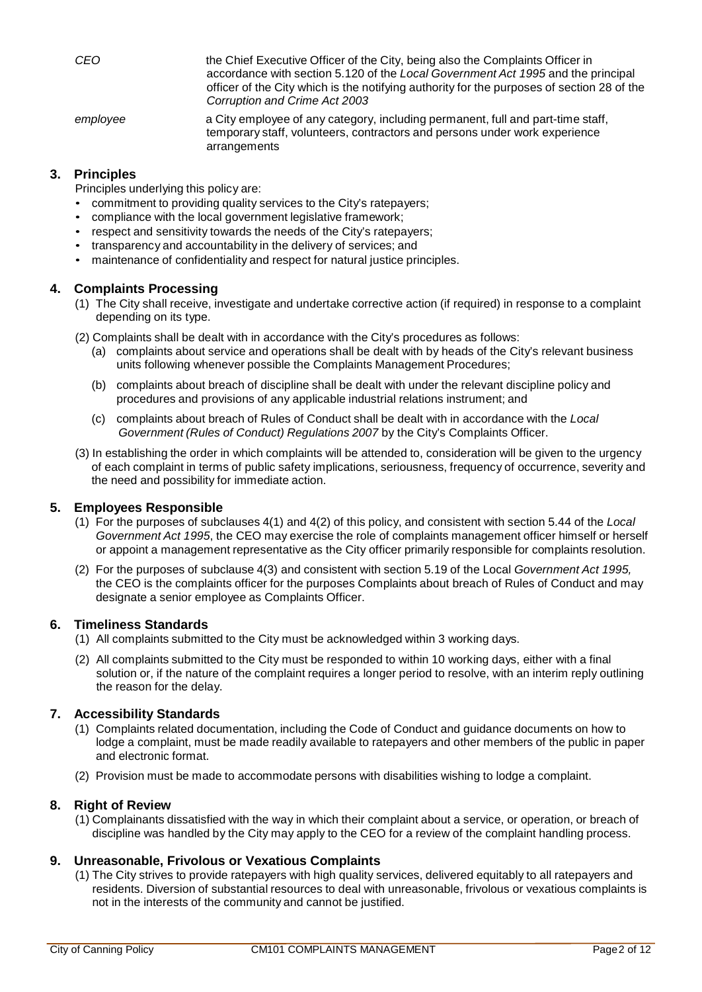| CEO      | the Chief Executive Officer of the City, being also the Complaints Officer in<br>accordance with section 5.120 of the Local Government Act 1995 and the principal<br>officer of the City which is the notifying authority for the purposes of section 28 of the<br>Corruption and Crime Act 2003 |
|----------|--------------------------------------------------------------------------------------------------------------------------------------------------------------------------------------------------------------------------------------------------------------------------------------------------|
| employee | a City employee of any category, including permanent, full and part-time staff,<br>temporary staff, volunteers, contractors and persons under work experience<br>arrangements                                                                                                                    |

## **3. Principles**

Principles underlying this policy are:

- commitment to providing quality services to the City's ratepayers;
- compliance with the local government legislative framework;
- respect and sensitivity towards the needs of the City's ratepayers:
- transparency and accountability in the delivery of services; and
- maintenance of confidentiality and respect for natural justice principles.

### **4. Complaints Processing**

- (1) The City shall receive, investigate and undertake corrective action (if required) in response to a complaint depending on its type.
- (2) Complaints shall be dealt with in accordance with the City's procedures as follows:
	- (a) complaints about service and operations shall be dealt with by heads of the City's relevant business units following whenever possible the Complaints Management Procedures;
	- (b) complaints about breach of discipline shall be dealt with under the relevant discipline policy and procedures and provisions of any applicable industrial relations instrument; and
	- (c) complaints about breach of Rules of Conduct shall be dealt with in accordance with the *Local Government (Rules of Conduct) Regulations 2007* by the City's Complaints Officer.
- (3) In establishing the order in which complaints will be attended to, consideration will be given to the urgency of each complaint in terms of public safety implications, seriousness, frequency of occurrence, severity and the need and possibility for immediate action.

## **5. Employees Responsible**

- (1) For the purposes of subclauses 4(1) and 4(2) of this policy, and consistent with section 5.44 of the *Local Government Act 1995*, the CEO may exercise the role of complaints management officer himself or herself or appoint a management representative as the City officer primarily responsible for complaints resolution.
- (2) For the purposes of subclause 4(3) and consistent with section 5.19 of the Local *Government Act 1995,*  the CEO is the complaints officer for the purposes Complaints about breach of Rules of Conduct and may designate a senior employee as Complaints Officer.

### **6. Timeliness Standards**

- (1) All complaints submitted to the City must be acknowledged within 3 working days.
- (2) All complaints submitted to the City must be responded to within 10 working days, either with a final solution or, if the nature of the complaint requires a longer period to resolve, with an interim reply outlining the reason for the delay.

## **7. Accessibility Standards**

- (1) Complaints related documentation, including the Code of Conduct and guidance documents on how to lodge a complaint, must be made readily available to ratepayers and other members of the public in paper and electronic format.
- (2) Provision must be made to accommodate persons with disabilities wishing to lodge a complaint.

### **8. Right of Review**

(1) Complainants dissatisfied with the way in which their complaint about a service, or operation, or breach of discipline was handled by the City may apply to the CEO for a review of the complaint handling process.

## **9. Unreasonable, Frivolous or Vexatious Complaints**

(1) The City strives to provide ratepayers with high quality services, delivered equitably to all ratepayers and residents. Diversion of substantial resources to deal with unreasonable, frivolous or vexatious complaints is not in the interests of the community and cannot be justified.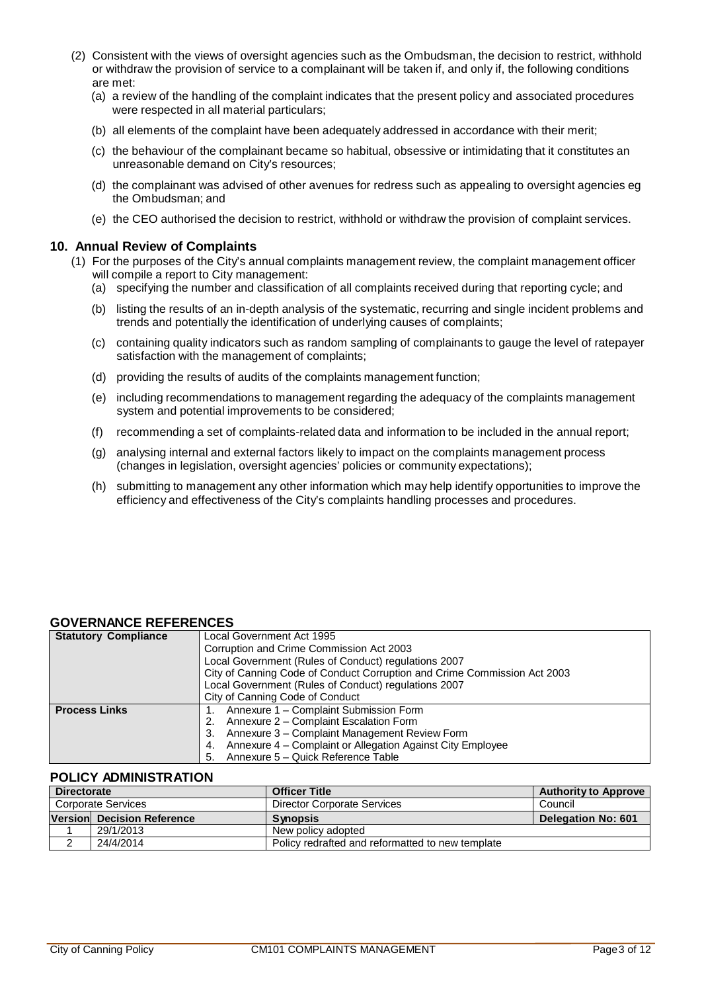- (2) Consistent with the views of oversight agencies such as the Ombudsman, the decision to restrict, withhold or withdraw the provision of service to a complainant will be taken if, and only if, the following conditions are met:
	- (a) a review of the handling of the complaint indicates that the present policy and associated procedures were respected in all material particulars;
	- (b) all elements of the complaint have been adequately addressed in accordance with their merit;
	- (c) the behaviour of the complainant became so habitual, obsessive or intimidating that it constitutes an unreasonable demand on City's resources;
	- (d) the complainant was advised of other avenues for redress such as appealing to oversight agencies eg the Ombudsman; and
	- (e) the CEO authorised the decision to restrict, withhold or withdraw the provision of complaint services.

## **10. Annual Review of Complaints**

- (1) For the purposes of the City's annual complaints management review, the complaint management officer will compile a report to City management:
	- (a) specifying the number and classification of all complaints received during that reporting cycle; and
	- (b) listing the results of an in-depth analysis of the systematic, recurring and single incident problems and trends and potentially the identification of underlying causes of complaints;
	- (c) containing quality indicators such as random sampling of complainants to gauge the level of ratepayer satisfaction with the management of complaints;
	- (d) providing the results of audits of the complaints management function;
	- (e) including recommendations to management regarding the adequacy of the complaints management system and potential improvements to be considered;
	- (f) recommending a set of complaints-related data and information to be included in the annual report;
	- (g) analysing internal and external factors likely to impact on the complaints management process (changes in legislation, oversight agencies' policies or community expectations);
	- (h) submitting to management any other information which may help identify opportunities to improve the efficiency and effectiveness of the City's complaints handling processes and procedures.

## **GOVERNANCE REFERENCES**

| <b>Statutory Compliance</b> | Local Government Act 1995                                                |  |
|-----------------------------|--------------------------------------------------------------------------|--|
|                             | Corruption and Crime Commission Act 2003                                 |  |
|                             | Local Government (Rules of Conduct) regulations 2007                     |  |
|                             | City of Canning Code of Conduct Corruption and Crime Commission Act 2003 |  |
|                             | Local Government (Rules of Conduct) regulations 2007                     |  |
|                             | City of Canning Code of Conduct                                          |  |
| <b>Process Links</b>        | Annexure 1 - Complaint Submission Form                                   |  |
|                             | Annexure 2 - Complaint Escalation Form<br>2.                             |  |
|                             | Annexure 3 - Complaint Management Review Form<br>3.                      |  |
|                             | Annexure 4 – Complaint or Allegation Against City Employee<br>4.         |  |
|                             | Annexure 5 - Quick Reference Table<br>5.                                 |  |

## **POLICY ADMINISTRATION**

| <b>Directorate</b> |                                                               | <b>Officer Title</b>        | <b>Authority to Approve</b> |
|--------------------|---------------------------------------------------------------|-----------------------------|-----------------------------|
|                    | Corporate Services                                            | Director Corporate Services | Council                     |
|                    | Version Decision Reference                                    | <b>Synopsis</b>             | <b>Delegation No: 601</b>   |
|                    | 29/1/2013                                                     | New policy adopted          |                             |
|                    | 24/4/2014<br>Policy redrafted and reformatted to new template |                             |                             |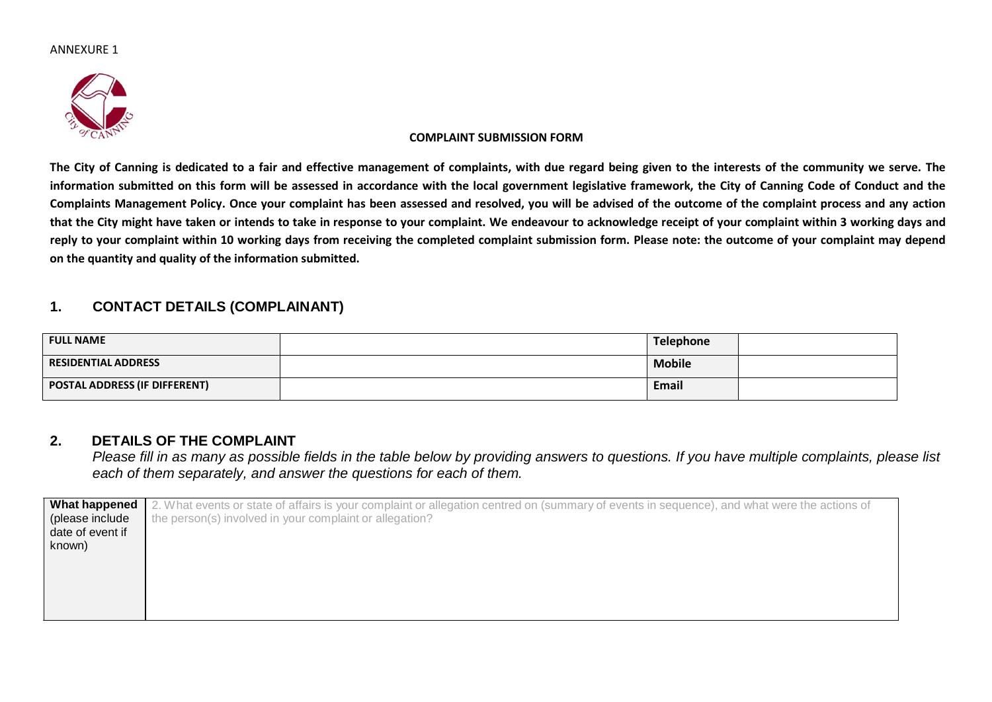

### **COMPLAINT SUBMISSION FORM**

The City of Canning is dedicated to a fair and effective management of complaints, with due regard being given to the interests of the community we serve. The information submitted on this form will be assessed in accordance with the local government legislative framework, the City of Canning Code of Conduct and the Complaints Management Policy. Once your complaint has been assessed and resolved, you will be advised of the outcome of the complaint process and any action that the City might have taken or intends to take in response to your complaint. We endeavour to acknowledge receipt of your complaint within 3 working days and reply to your complaint within 10 working days from receiving the completed complaint submission form. Please note: the outcome of your complaint may depend **on the quantity and quality of the information submitted.**

# **1. CONTACT DETAILS (COMPLAINANT)**

| <b>FULL NAME</b>              | <b>Telephone</b> |  |
|-------------------------------|------------------|--|
| RESIDENTIAL ADDRESS           | <b>Mobile</b>    |  |
| POSTAL ADDRESS (IF DIFFERENT) | <b>Email</b>     |  |

## **2. DETAILS OF THE COMPLAINT**

Please fill in as many as possible fields in the table below by providing answers to questions. If you have multiple complaints, please list *each of them separately, and answer the questions for each of them.*

| What happened    | 2. What events or state of affairs is your complaint or allegation centred on (summary of events in sequence), and what were the actions of |
|------------------|---------------------------------------------------------------------------------------------------------------------------------------------|
| (please include  | the person(s) involved in your complaint or allegation?                                                                                     |
| date of event if |                                                                                                                                             |
| known)           |                                                                                                                                             |
|                  |                                                                                                                                             |
|                  |                                                                                                                                             |
|                  |                                                                                                                                             |
|                  |                                                                                                                                             |
|                  |                                                                                                                                             |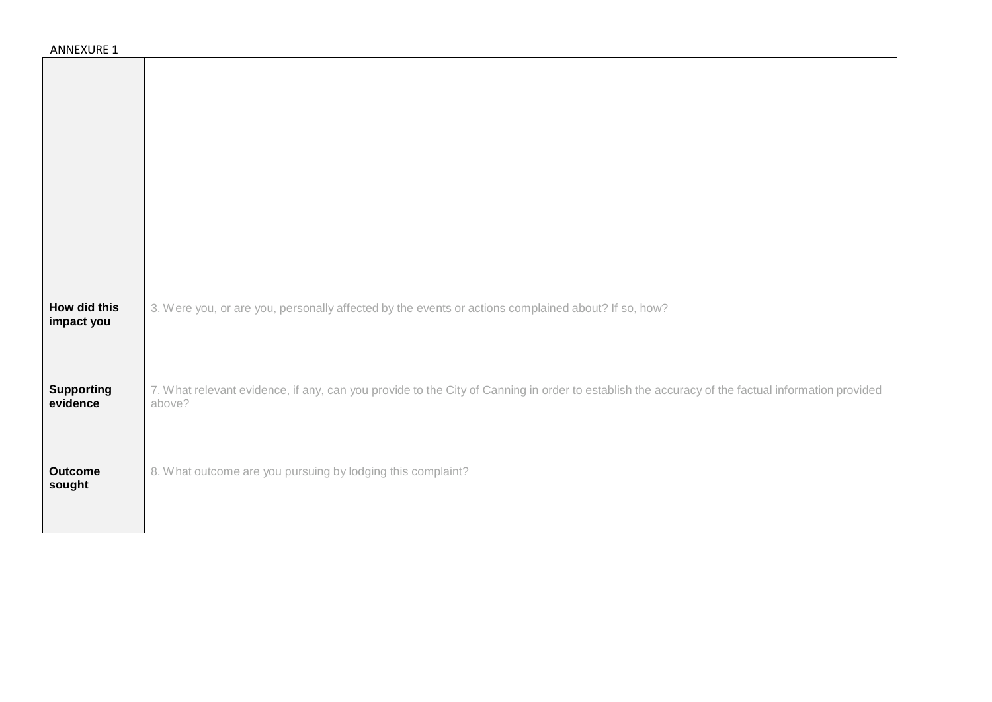| <b>ANNEXURE 1</b>             |                                                                                                                                                            |
|-------------------------------|------------------------------------------------------------------------------------------------------------------------------------------------------------|
|                               |                                                                                                                                                            |
|                               |                                                                                                                                                            |
|                               |                                                                                                                                                            |
|                               |                                                                                                                                                            |
|                               |                                                                                                                                                            |
|                               |                                                                                                                                                            |
|                               |                                                                                                                                                            |
|                               |                                                                                                                                                            |
|                               |                                                                                                                                                            |
|                               |                                                                                                                                                            |
|                               |                                                                                                                                                            |
|                               |                                                                                                                                                            |
| How did this<br>impact you    | 3. Were you, or are you, personally affected by the events or actions complained about? If so, how?                                                        |
|                               |                                                                                                                                                            |
|                               |                                                                                                                                                            |
|                               |                                                                                                                                                            |
| <b>Supporting</b><br>evidence | 7. What relevant evidence, if any, can you provide to the City of Canning in order to establish the accuracy of the factual information provided<br>above? |
|                               |                                                                                                                                                            |
|                               |                                                                                                                                                            |
| <b>Outcome</b>                | 8. What outcome are you pursuing by lodging this complaint?                                                                                                |
| sought                        |                                                                                                                                                            |
|                               |                                                                                                                                                            |
|                               |                                                                                                                                                            |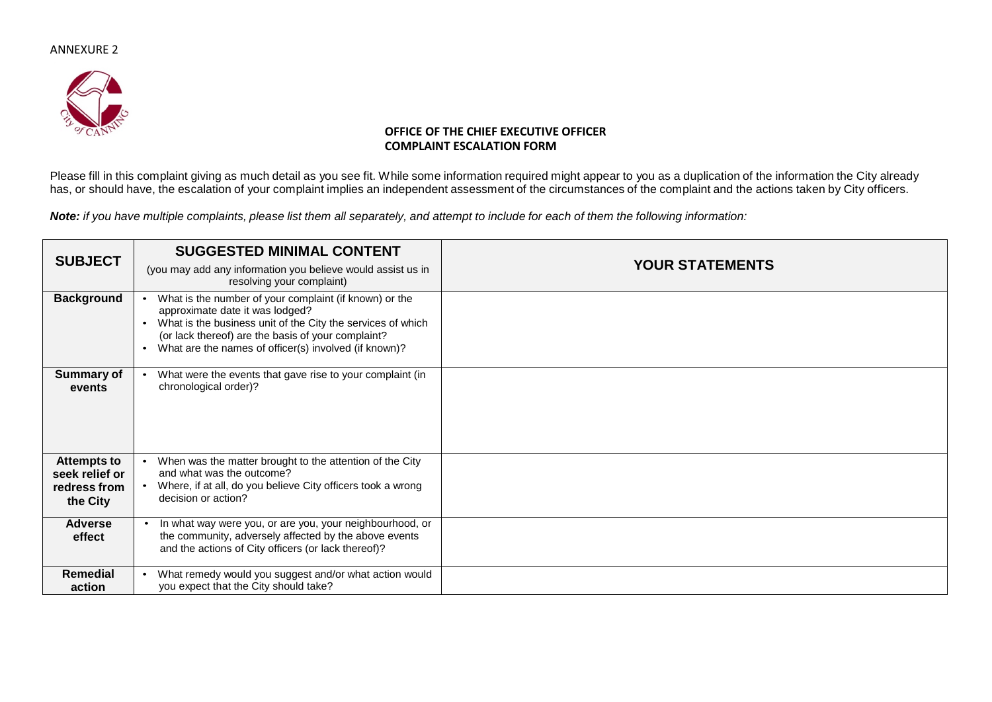

### **OFFICE OF THE CHIEF EXECUTIVE OFFICER COMPLAINT ESCALATION FORM**

Please fill in this complaint giving as much detail as you see fit. While some information required might appear to you as a duplication of the information the City already has, or should have, the escalation of your complaint implies an independent assessment of the circumstances of the complaint and the actions taken by City officers.

Note: if you have multiple complaints, please list them all separately, and attempt to include for each of them the following information:

| <b>SUBJECT</b>                                                   | <b>SUGGESTED MINIMAL CONTENT</b><br>(you may add any information you believe would assist us in<br>resolving your complaint)                                                                                                                                                                      | <b>YOUR STATEMENTS</b> |
|------------------------------------------------------------------|---------------------------------------------------------------------------------------------------------------------------------------------------------------------------------------------------------------------------------------------------------------------------------------------------|------------------------|
| <b>Background</b>                                                | What is the number of your complaint (if known) or the<br>$\bullet$<br>approximate date it was lodged?<br>What is the business unit of the City the services of which<br>$\bullet$<br>(or lack thereof) are the basis of your complaint?<br>What are the names of officer(s) involved (if known)? |                        |
| Summary of<br>events                                             | What were the events that gave rise to your complaint (in<br>chronological order)?                                                                                                                                                                                                                |                        |
| <b>Attempts to</b><br>seek relief or<br>redress from<br>the City | When was the matter brought to the attention of the City<br>$\bullet$<br>and what was the outcome?<br>Where, if at all, do you believe City officers took a wrong<br>decision or action?                                                                                                          |                        |
| <b>Adverse</b><br>effect                                         | In what way were you, or are you, your neighbourhood, or<br>$\bullet$<br>the community, adversely affected by the above events<br>and the actions of City officers (or lack thereof)?                                                                                                             |                        |
| Remedial<br>action                                               | What remedy would you suggest and/or what action would<br>٠<br>you expect that the City should take?                                                                                                                                                                                              |                        |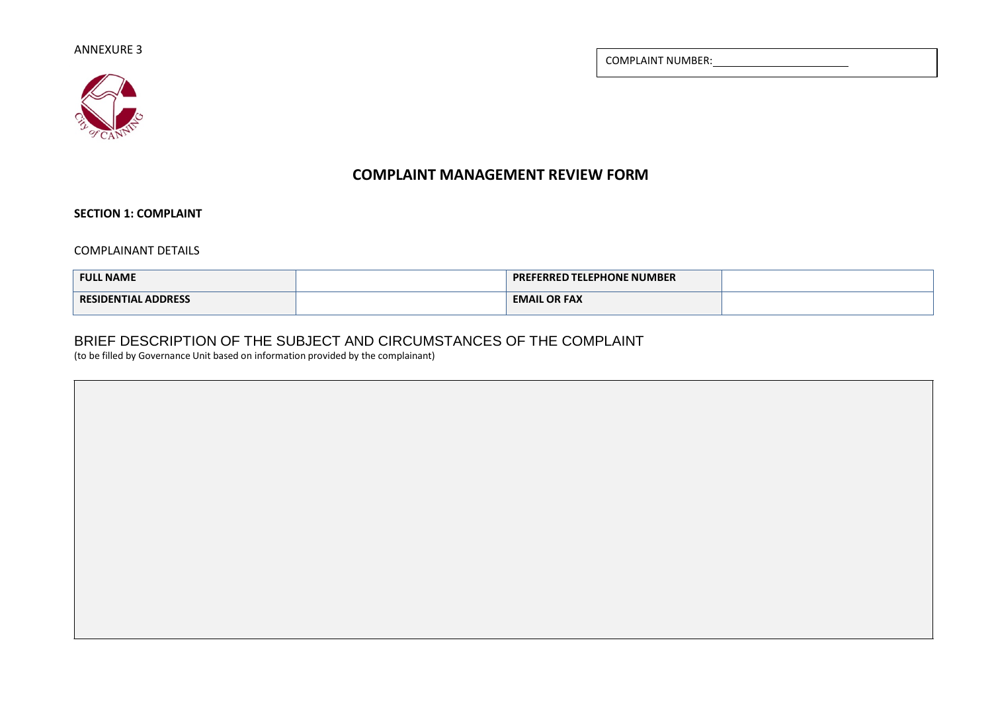COMPLAINT NUMBER:



# **COMPLAINT MANAGEMENT REVIEW FORM**

**SECTION 1: COMPLAINT**

COMPLAINANT DETAILS

| <b>FULL NAME</b>           | $^{\circ}$ PREFERRED TELEPHONE NUMBER $^{\circ}$ |  |
|----------------------------|--------------------------------------------------|--|
| <b>RESIDENTIAL ADDRESS</b> | <b>EMAIL OR FAX</b>                              |  |

# BRIEF DESCRIPTION OF THE SUBJECT AND CIRCUMSTANCES OF THE COMPLAINT

(to be filled by Governance Unit based on information provided by the complainant)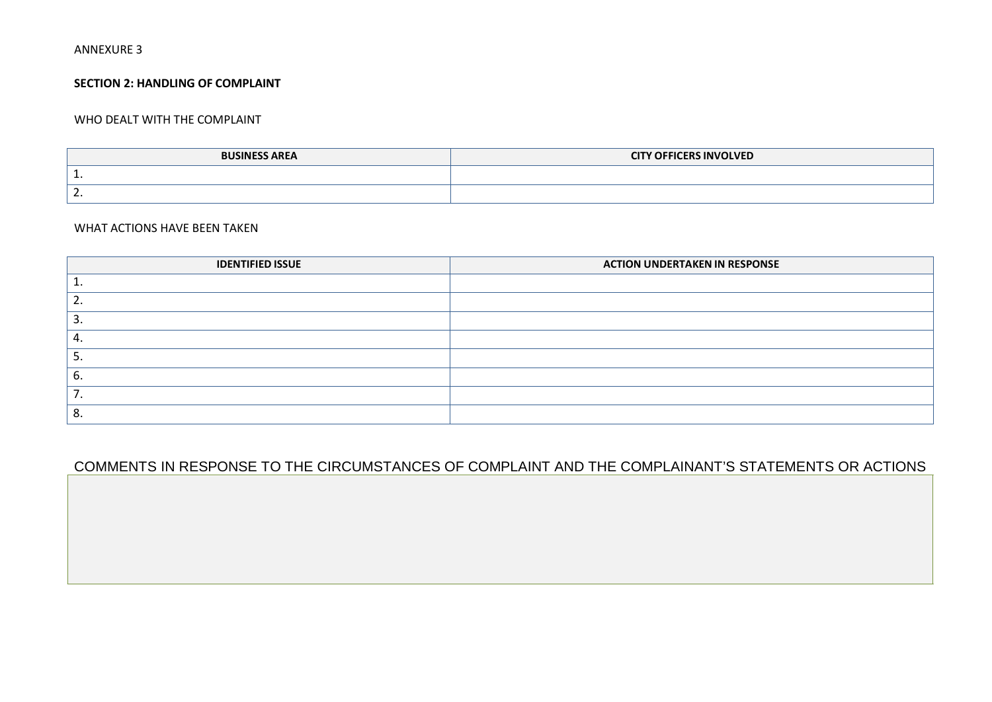### **SECTION 2: HANDLING OF COMPLAINT**

### WHO DEALT WITH THE COMPLAINT

| <b>BUSINESS AREA</b> | <b>CITY OFFICERS INVOLVED</b> |
|----------------------|-------------------------------|
| . .                  |                               |
| ∍<br>. .             |                               |

### WHAT ACTIONS HAVE BEEN TAKEN

| <b>IDENTIFIED ISSUE</b> | <b>ACTION UNDERTAKEN IN RESPONSE</b> |
|-------------------------|--------------------------------------|
|                         |                                      |
|                         |                                      |
|                         |                                      |
|                         |                                      |
|                         |                                      |
| Ⴆ.                      |                                      |
|                         |                                      |
|                         |                                      |

# COMMENTS IN RESPONSE TO THE CIRCUMSTANCES OF COMPLAINT AND THE COMPLAINANT'S STATEMENTS OR ACTIONS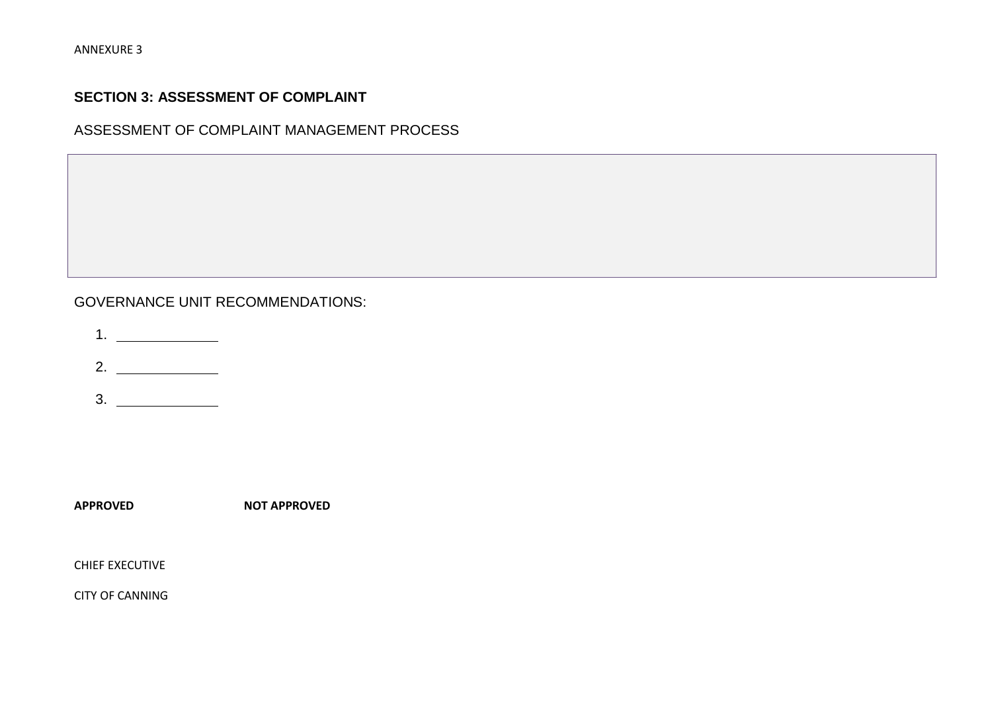# **SECTION 3: ASSESSMENT OF COMPLAINT**

ASSESSMENT OF COMPLAINT MANAGEMENT PROCESS

# GOVERNANCE UNIT RECOMMENDATIONS:

1.

2.

3.

**APPROVED NOT APPROVED**

CHIEF EXECUTIVE

CITY OF CANNING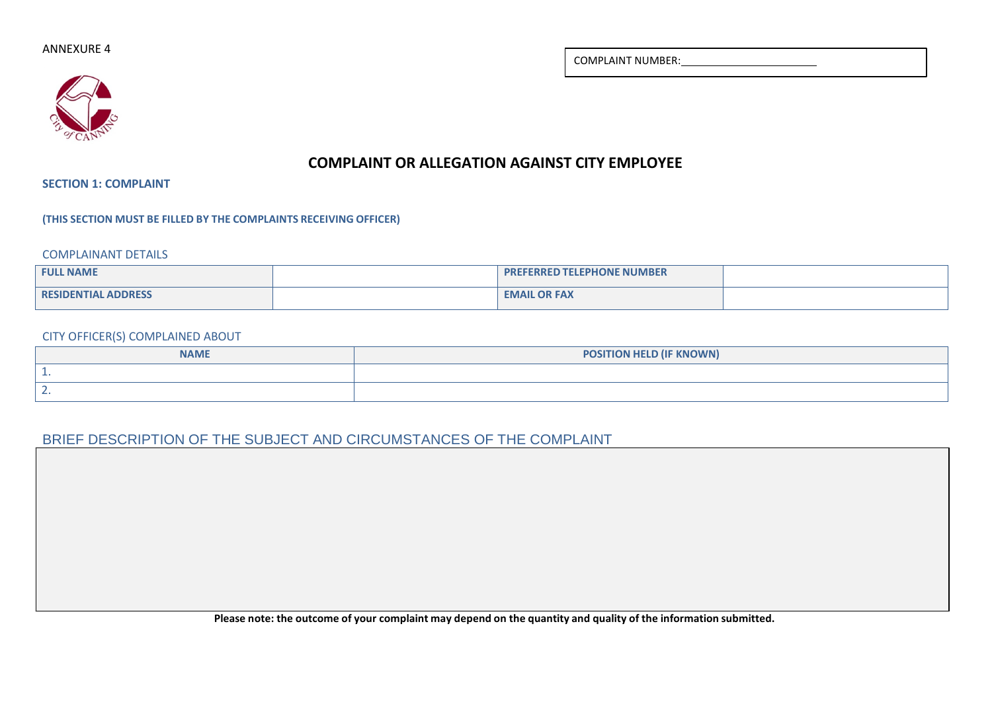COMPLAINT NUMBER:

# **COMPLAINT OR ALLEGATION AGAINST CITY EMPLOYEE**

**SECTION 1: COMPLAINT**

**(THIS SECTION MUST BE FILLED BY THE COMPLAINTS RECEIVING OFFICER)**

COMPLAINANT DETAILS

| <b>FULL NAME</b>           | <b>PREFERRED TELEPHONE NUMBER</b> |  |
|----------------------------|-----------------------------------|--|
| <b>RESIDENTIAL ADDRESS</b> | <b>EMAIL OR FAX</b>               |  |

### CITY OFFICER(S) COMPLAINED ABOUT

| <b>NAME</b>     | <b>POSITION HELD (IF KNOWN)</b> |
|-----------------|---------------------------------|
|                 |                                 |
| -<br>. <u>.</u> |                                 |

# BRIEF DESCRIPTION OF THE SUBJECT AND CIRCUMSTANCES OF THE COMPLAINT

Please note: the outcome of your complaint may depend on the quantity and quality of the information submitted.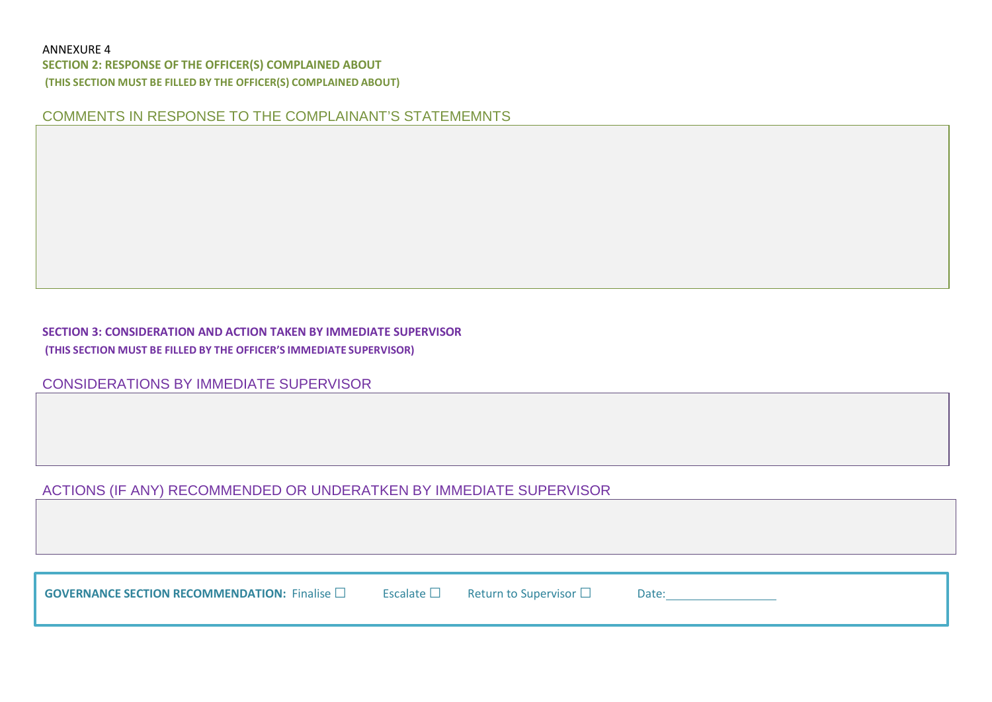**SECTION 2: RESPONSE OF THE OFFICER(S) COMPLAINED ABOUT (THIS SECTION MUST BE FILLED BY THE OFFICER(S) COMPLAINED ABOUT)**

COMMENTS IN RESPONSE TO THE COMPLAINANT'S STATEMEMNTS

# **SECTION 3: CONSIDERATION AND ACTION TAKEN BY IMMEDIATE SUPERVISOR (THIS SECTION MUST BE FILLED BY THE OFFICER'S IMMEDIATE SUPERVISOR)**

CONSIDERATIONS BY IMMEDIATE SUPERVISOR

# ACTIONS (IF ANY) RECOMMENDED OR UNDERATKEN BY IMMEDIATE SUPERVISOR

| <b>GOVERNANCE SECTION RECOMMENDATION:</b> Finalise $\square$ | Escalate $\Box$ | Return to Supervisor $\Box$ | Date |  |
|--------------------------------------------------------------|-----------------|-----------------------------|------|--|
|--------------------------------------------------------------|-----------------|-----------------------------|------|--|